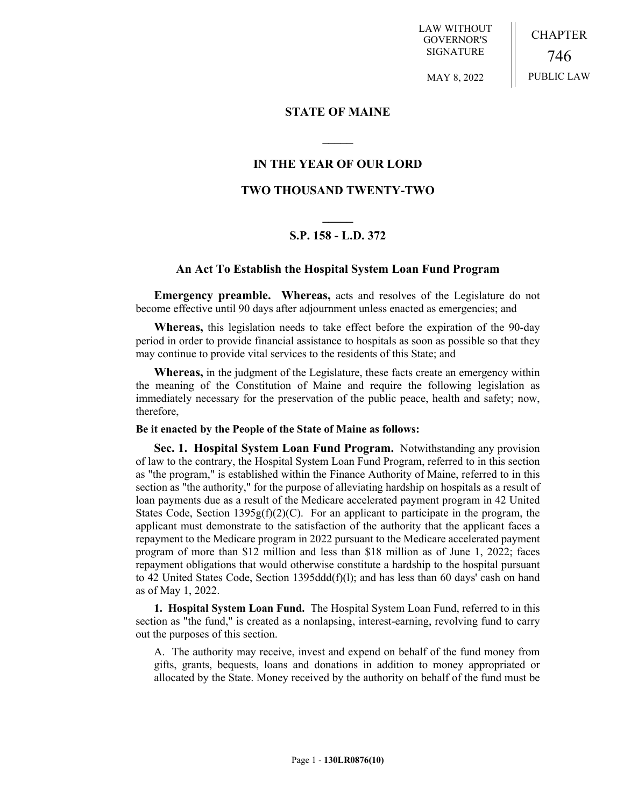LAW WITHOUT GOVERNOR'S SIGNATURE

CHAPTER 746 PUBLIC LAW

MAY 8, 2022

## **STATE OF MAINE**

# **IN THE YEAR OF OUR LORD**

**\_\_\_\_\_**

# **TWO THOUSAND TWENTY-TWO**

# **\_\_\_\_\_ S.P. 158 - L.D. 372**

## **An Act To Establish the Hospital System Loan Fund Program**

**Emergency preamble. Whereas,** acts and resolves of the Legislature do not become effective until 90 days after adjournment unless enacted as emergencies; and

**Whereas,** this legislation needs to take effect before the expiration of the 90-day period in order to provide financial assistance to hospitals as soon as possible so that they may continue to provide vital services to the residents of this State; and

**Whereas,** in the judgment of the Legislature, these facts create an emergency within the meaning of the Constitution of Maine and require the following legislation as immediately necessary for the preservation of the public peace, health and safety; now, therefore,

#### **Be it enacted by the People of the State of Maine as follows:**

**Sec. 1. Hospital System Loan Fund Program.** Notwithstanding any provision of law to the contrary, the Hospital System Loan Fund Program, referred to in this section as "the program," is established within the Finance Authority of Maine, referred to in this section as "the authority," for the purpose of alleviating hardship on hospitals as a result of loan payments due as a result of the Medicare accelerated payment program in 42 United States Code, Section 1395g(f)(2)(C). For an applicant to participate in the program, the applicant must demonstrate to the satisfaction of the authority that the applicant faces a repayment to the Medicare program in 2022 pursuant to the Medicare accelerated payment program of more than \$12 million and less than \$18 million as of June 1, 2022; faces repayment obligations that would otherwise constitute a hardship to the hospital pursuant to 42 United States Code, Section 1395dd $d(f)(l)$ ; and has less than 60 days' cash on hand as of May 1, 2022.

**1. Hospital System Loan Fund.** The Hospital System Loan Fund, referred to in this section as "the fund," is created as a nonlapsing, interest-earning, revolving fund to carry out the purposes of this section.

A. The authority may receive, invest and expend on behalf of the fund money from gifts, grants, bequests, loans and donations in addition to money appropriated or allocated by the State. Money received by the authority on behalf of the fund must be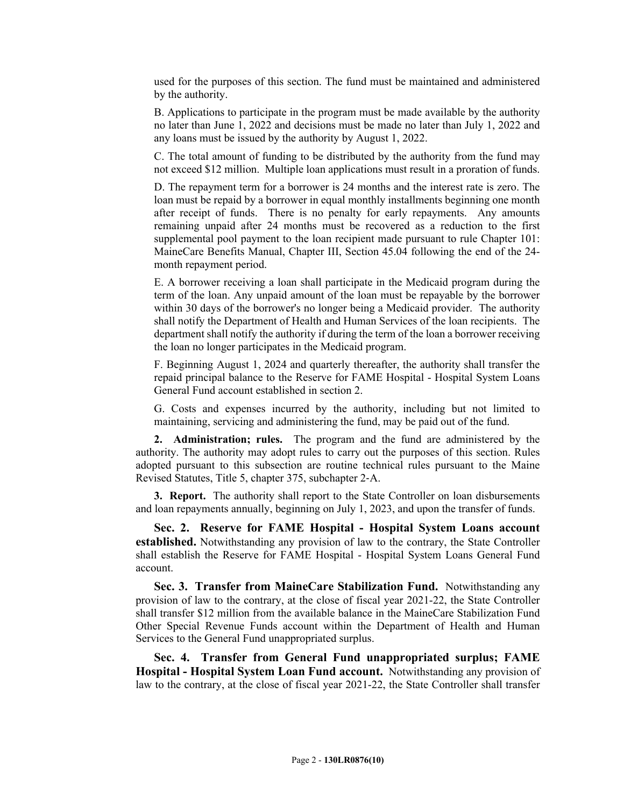used for the purposes of this section. The fund must be maintained and administered by the authority.

B. Applications to participate in the program must be made available by the authority no later than June 1, 2022 and decisions must be made no later than July 1, 2022 and any loans must be issued by the authority by August 1, 2022.

C. The total amount of funding to be distributed by the authority from the fund may not exceed \$12 million. Multiple loan applications must result in a proration of funds.

D. The repayment term for a borrower is 24 months and the interest rate is zero. The loan must be repaid by a borrower in equal monthly installments beginning one month after receipt of funds. There is no penalty for early repayments. Any amounts remaining unpaid after 24 months must be recovered as a reduction to the first supplemental pool payment to the loan recipient made pursuant to rule Chapter 101: MaineCare Benefits Manual, Chapter III, Section 45.04 following the end of the 24 month repayment period.

E. A borrower receiving a loan shall participate in the Medicaid program during the term of the loan. Any unpaid amount of the loan must be repayable by the borrower within 30 days of the borrower's no longer being a Medicaid provider. The authority shall notify the Department of Health and Human Services of the loan recipients. The department shall notify the authority if during the term of the loan a borrower receiving the loan no longer participates in the Medicaid program.

F. Beginning August 1, 2024 and quarterly thereafter, the authority shall transfer the repaid principal balance to the Reserve for FAME Hospital - Hospital System Loans General Fund account established in section 2.

G. Costs and expenses incurred by the authority, including but not limited to maintaining, servicing and administering the fund, may be paid out of the fund.

**2. Administration; rules.** The program and the fund are administered by the authority. The authority may adopt rules to carry out the purposes of this section. Rules adopted pursuant to this subsection are routine technical rules pursuant to the Maine Revised Statutes, Title 5, chapter 375, subchapter 2‑A.

**3. Report.** The authority shall report to the State Controller on loan disbursements and loan repayments annually, beginning on July 1, 2023, and upon the transfer of funds.

**Sec. 2. Reserve for FAME Hospital - Hospital System Loans account established.** Notwithstanding any provision of law to the contrary, the State Controller shall establish the Reserve for FAME Hospital - Hospital System Loans General Fund account.

**Sec. 3. Transfer from MaineCare Stabilization Fund.** Notwithstanding any provision of law to the contrary, at the close of fiscal year 2021-22, the State Controller shall transfer \$12 million from the available balance in the MaineCare Stabilization Fund Other Special Revenue Funds account within the Department of Health and Human Services to the General Fund unappropriated surplus.

**Sec. 4. Transfer from General Fund unappropriated surplus; FAME Hospital - Hospital System Loan Fund account.** Notwithstanding any provision of law to the contrary, at the close of fiscal year 2021-22, the State Controller shall transfer